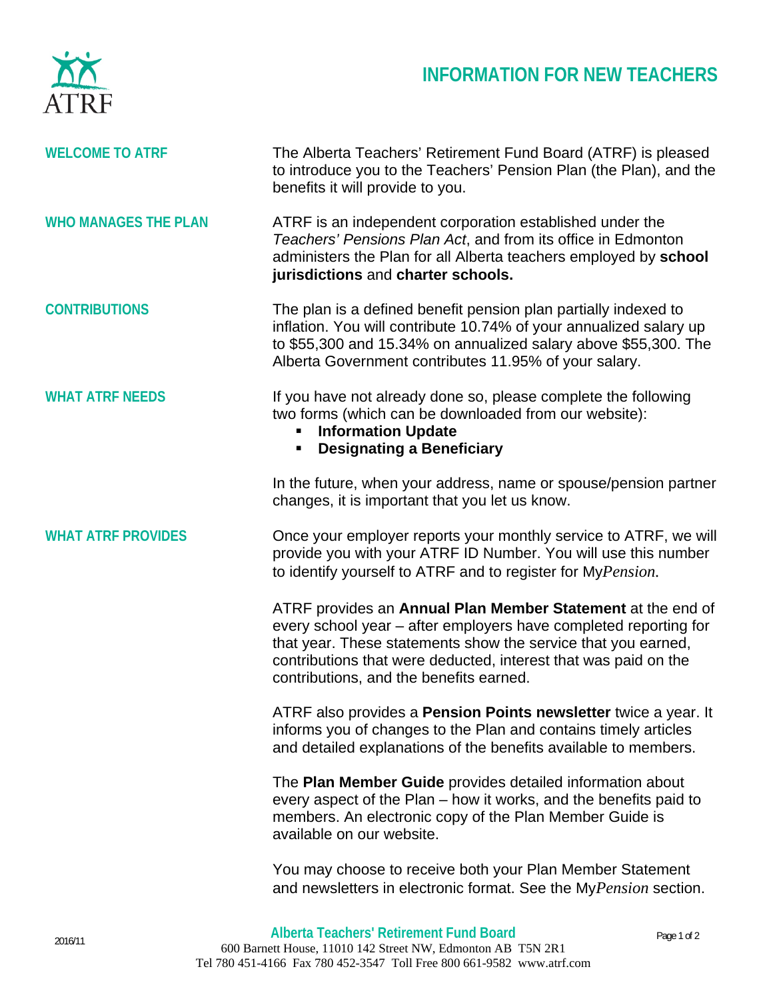

## **INFORMATION FOR NEW TEACHERS**

| <b>WELCOME TO ATRF</b>      | The Alberta Teachers' Retirement Fund Board (ATRF) is pleased<br>to introduce you to the Teachers' Pension Plan (the Plan), and the<br>benefits it will provide to you.                                                                                                                                        |
|-----------------------------|----------------------------------------------------------------------------------------------------------------------------------------------------------------------------------------------------------------------------------------------------------------------------------------------------------------|
| <b>WHO MANAGES THE PLAN</b> | ATRF is an independent corporation established under the<br>Teachers' Pensions Plan Act, and from its office in Edmonton<br>administers the Plan for all Alberta teachers employed by school<br>jurisdictions and charter schools.                                                                             |
| <b>CONTRIBUTIONS</b>        | The plan is a defined benefit pension plan partially indexed to<br>inflation. You will contribute 10.74% of your annualized salary up<br>to \$55,300 and 15.34% on annualized salary above \$55,300. The<br>Alberta Government contributes 11.95% of your salary.                                              |
| <b>WHAT ATRF NEEDS</b>      | If you have not already done so, please complete the following<br>two forms (which can be downloaded from our website):<br><b>Information Update</b><br>π.<br><b>Designating a Beneficiary</b><br>٠                                                                                                            |
|                             | In the future, when your address, name or spouse/pension partner<br>changes, it is important that you let us know.                                                                                                                                                                                             |
| <b>WHAT ATRF PROVIDES</b>   | Once your employer reports your monthly service to ATRF, we will<br>provide you with your ATRF ID Number. You will use this number<br>to identify yourself to ATRF and to register for MyPension.                                                                                                              |
|                             | ATRF provides an Annual Plan Member Statement at the end of<br>every school year – after employers have completed reporting for<br>that year. These statements show the service that you earned,<br>contributions that were deducted, interest that was paid on the<br>contributions, and the benefits earned. |
|                             | ATRF also provides a <b>Pension Points newsletter</b> twice a year. It<br>informs you of changes to the Plan and contains timely articles<br>and detailed explanations of the benefits available to members.                                                                                                   |
|                             | The Plan Member Guide provides detailed information about<br>every aspect of the Plan – how it works, and the benefits paid to<br>members. An electronic copy of the Plan Member Guide is<br>available on our website.                                                                                         |
|                             | You may choose to receive both your Plan Member Statement<br>and newsletters in electronic format. See the MyPension section.                                                                                                                                                                                  |